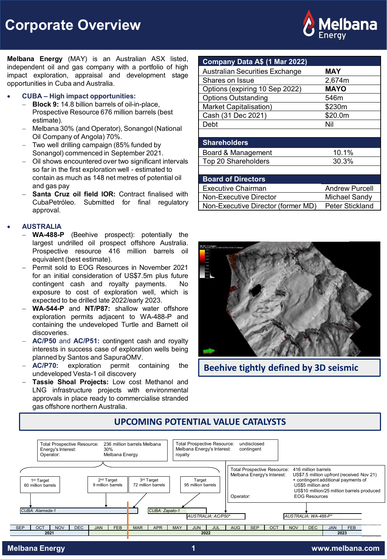**Corporate Overview**



**Melbana Energy** (MAY) is an Australian ASX listed, independent oil and gas company with a portfolio of high impact exploration, appraisal and development stage opportunities in Cuba and Australia.

#### • **CUBA – High impact opportunities:**

- **Block 9: 14.8 billion barrels of oil-in-place,** Prospective Resource 676 million barrels (best estimate).
- − Melbana 30% (and Operator), Sonangol (National Oil Company of Angola) 70%.
- − Two well drilling campaign (85% funded by Sonangol) commenced in September 2021.
- − Oil shows encountered over two significant intervals so far in the first exploration well - estimated to contain as much as 148 net metres of potential oil and gas pay
- − **Santa Cruz oil field IOR:** Contract finalised with CubaPetróleo. Submitted for final regulatory approval.

### • **AUSTRALIA**

- − **WA-488-P** (Beehive prospect): potentially the largest undrilled oil prospect offshore Australia. Prospective resource 416 million barrels oil equivalent (best estimate).
- − Permit sold to EOG Resources in November 2021 for an initial consideration of US\$7.5m plus future contingent cash and royalty payments. No exposure to cost of exploration well, which is expected to be drilled late 2022/early 2023.
- − **WA-544-P** and **NT/P87:** shallow water offshore exploration permits adjacent to WA-488-P and containing the undeveloped Turtle and Barnett oil discoveries.
- − **AC/P50** and **AC/P51:** contingent cash and royalty interests in success case of exploration wells being planned by Santos and SapuraOMV.
- − **AC/P70:** exploration permit containing the undeveloped Vesta-1 oil discovery
- − **Tassie Shoal Projects:** Low cost Methanol and LNG infrastructure projects with environmental approvals in place ready to commercialise stranded gas offshore northern Australia.

| Company Data A\$ (1 Mar 2022)         |                       |  |  |
|---------------------------------------|-----------------------|--|--|
| <b>Australian Securities Exchange</b> | MAY                   |  |  |
| Shares on Issue                       | 2,674m                |  |  |
| Options (expiring 10 Sep 2022)        | <b>MAYO</b>           |  |  |
| <b>Options Outstanding</b>            | 546m                  |  |  |
| Market Capitalisation)                | \$230m                |  |  |
| Cash (31 Dec 2021)                    | \$20.0m               |  |  |
| Debt                                  | Nil                   |  |  |
|                                       |                       |  |  |
| <b>Shareholders</b>                   |                       |  |  |
| Board & Management                    | 10.1%                 |  |  |
| Top 20 Shareholders                   | 30.3%                 |  |  |
|                                       |                       |  |  |
| <b>Board of Directors</b>             |                       |  |  |
| <b>Executive Chairman</b>             | <b>Andrew Purcell</b> |  |  |
| Non-Executive Director                | Michael Sandy         |  |  |
| Non-Executive Director (former MD)    | Peter Stickland       |  |  |



**Beehive tightly defined by 3D seismic**



# **UPCOMING POTENTIAL VALUE CATALYSTS**